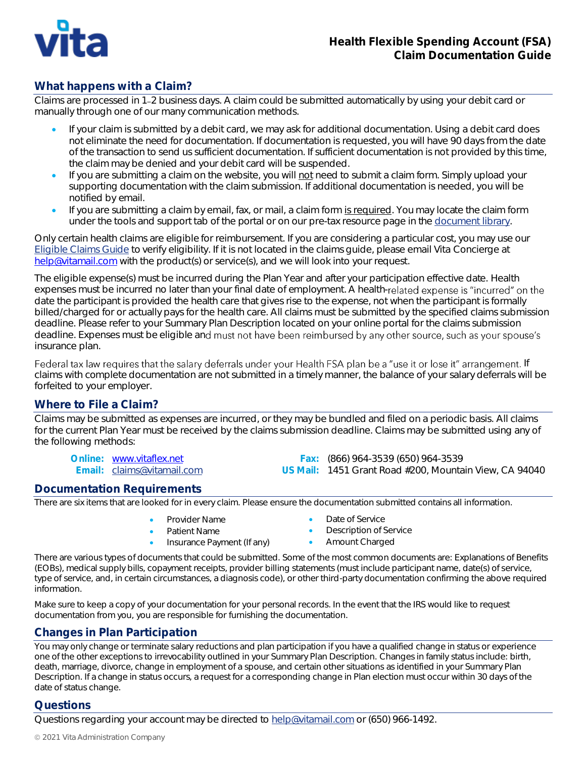

# **What happens with a Claim?**

Claims are processed in 1 2 business days. A claim could be submitted automatically by using your debit card or manually through one of our many communication methods.

- If your claim is submitted by a debit card, we may ask for additional documentation. Using a debit card does not eliminate the need for documentation. If documentation is requested, you will have 90 days from the date of the transaction to send us sufficient documentation. If sufficient documentation is not provided by this time, the claim may be denied and your debit card will be suspended.
- If you are submitting a claim on the website, you will not need to submit a claim form. Simply upload your supporting documentation with the claim submission. If additional documentation is needed, you will be notified by email.
- If you are submitting a claim by email, fax, or mail, a claim form is required. You may locate the claim form under the tools and support tab of the portal or on our pre-tax resource page in the [document library.](http://www.vitacompanies.com/pre-tax-resources)

Only certain health claims are eligible for reimbursement. If you are considering a particular cost, you may use our [Eligible](https://claimsguide.vitacompanies.com/) Claims Guide to verify eligibility. If it is not located in the claims guide, please email Vita Concierge at [help@vitamail.com](mailto:help@vitamail.com) with the product(s) or service(s), and we will look into your request.

The eligible expense(s) must be incurred during the Plan Year and after your participation effective date. Health expenses must be incurred no later than your final date of employment. A health-related expense is "incurred" on the date the participant is provided the health care that gives rise to the expense, not when the participant is formally billed/charged for or actually pays for the health care. All claims must be submitted by the specified claims submission deadline. Please refer to your Summary Plan Description located on your online portal for the claims submission deadline. Expenses must be eligible and must not have been reimbursed by any other source, such as your spouse's insurance plan.

Federal tax law requires that the salary deferrals under your Health FSA plan be a "use it or lose it" arrangement. If claims with complete documentation are not submitted in a timely manner, the balance of your salary deferrals will be forfeited to your employer.

## **Where to File a Claim?**

Claims may be submitted as expenses are incurred, or they may be bundled and filed on a periodic basis. All claims for the current Plan Year must be received by the claims submission deadline. Claims may be submitted using any of the following methods:

Online: [www.vitaflex.net](http://www.vitaflex.net/) Fax: (866) 964-3539 (650) 964-3539 US Mail: 1451 Grant Road #200, Mountain View, CA 94040

### **Documentation Requirements**

There are six items that are looked for in every claim. Please ensure the documentation submitted contains all information.

- -
- Insurance Payment (If any)
- Provider Name  **Date of Service**
- Patient Name<br>
Insurance Payment (If any) **•** Amount Charged
	-

There are various types of documents that could be submitted. Some of the most common documents are: Explanations of Benefits (EOBs), medical supply bills, copayment receipts, provider billing statements (must include participant name, date(s) of service, type of service, and, in certain circumstances, a diagnosis code), or other third-party documentation confirming the above required information.

Make sure to keep a copy of your documentation for your personal records. In the event that the IRS would like to request documentation from you, you are responsible for furnishing the documentation.

## **Changes in Plan Participation**

You may only change or terminate salary reductions and plan participation if you have a qualified change in status or experience one of the other exceptions to irrevocability outlined in your Summary Plan Description. Changes in family status include: birth, death, marriage, divorce, change in employment of a spouse, and certain other situations as identified in your Summary Plan Description. If a change in status occurs, a request for a corresponding change in Plan election must occur within 30 days of the date of status change.

### **Questions**

Questions regarding your account may be directed to [help@vitamail.com](mailto:help@vitamail.com) or (650) 966-1492.